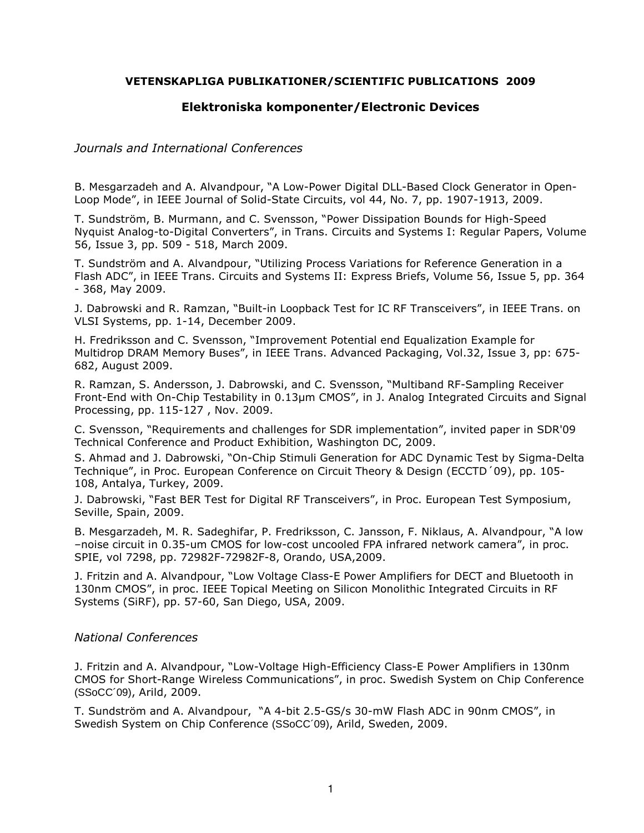## **VETENSKAPLIGA PUBLIKATIONER/SCIENTIFIC PUBLICATIONS 2009**

# **Elektroniska komponenter/Electronic Devices**

### *Journals and International Conferences*

B. Mesgarzadeh and A. Alvandpour, "A Low-Power Digital DLL-Based Clock Generator in Open-Loop Mode", in IEEE Journal of Solid-State Circuits, vol 44, No. 7, pp. 1907-1913, 2009.

T. Sundström, B. Murmann, and C. Svensson, "Power Dissipation Bounds for High-Speed Nyquist Analog-to-Digital Converters", in Trans. Circuits and Systems I: Regular Papers, Volume 56, Issue 3, pp. 509 - 518, March 2009.

T. Sundström and A. Alvandpour, "Utilizing Process Variations for Reference Generation in a Flash ADC", in IEEE Trans. Circuits and Systems II: Express Briefs, Volume 56, Issue 5, pp. 364 - 368, May 2009.

J. Dabrowski and R. Ramzan, "Built-in Loopback Test for IC RF Transceivers", in IEEE Trans. on VLSI Systems, pp. 1-14, December 2009.

H. Fredriksson and C. Svensson, "Improvement Potential end Equalization Example for Multidrop DRAM Memory Buses", in IEEE Trans. Advanced Packaging, Vol.32, Issue 3, pp: 675- 682, August 2009.

R. Ramzan, S. Andersson, J. Dabrowski, and C. Svensson, "Multiband RF-Sampling Receiver Front-End with On-Chip Testability in 0.13µm CMOS", in J. Analog Integrated Circuits and Signal Processing, pp. 115-127 , Nov. 2009.

C. Svensson, "Requirements and challenges for SDR implementation", invited paper in SDR'09 Technical Conference and Product Exhibition, Washington DC, 2009.

S. Ahmad and J. Dabrowski, "On-Chip Stimuli Generation for ADC Dynamic Test by Sigma-Delta Technique", in Proc. European Conference on Circuit Theory & Design (ECCTD´09), pp. 105- 108, Antalya, Turkey, 2009.

J. Dabrowski, "Fast BER Test for Digital RF Transceivers", in Proc. European Test Symposium, Seville, Spain, 2009.

B. Mesgarzadeh, M. R. Sadeghifar, P. Fredriksson, C. Jansson, F. Niklaus, A. Alvandpour, "A low –noise circuit in 0.35-um CMOS for low-cost uncooled FPA infrared network camera", in proc. SPIE, vol 7298, pp. 72982F-72982F-8, Orando, USA,2009.

J. Fritzin and A. Alvandpour, "Low Voltage Class-E Power Amplifiers for DECT and Bluetooth in 130nm CMOS", in proc. IEEE Topical Meeting on Silicon Monolithic Integrated Circuits in RF Systems (SiRF), pp. 57-60, San Diego, USA, 2009.

### *National Conferences*

J. Fritzin and A. Alvandpour, "Low-Voltage High-Efficiency Class-E Power Amplifiers in 130nm CMOS for Short-Range Wireless Communications", in proc. Swedish System on Chip Conference (SSoCC´09), Arild, 2009.

T. Sundström and A. Alvandpour, "A 4-bit 2.5-GS/s 30-mW Flash ADC in 90nm CMOS", in Swedish System on Chip Conference (SSoCC´09), Arild, Sweden, 2009.